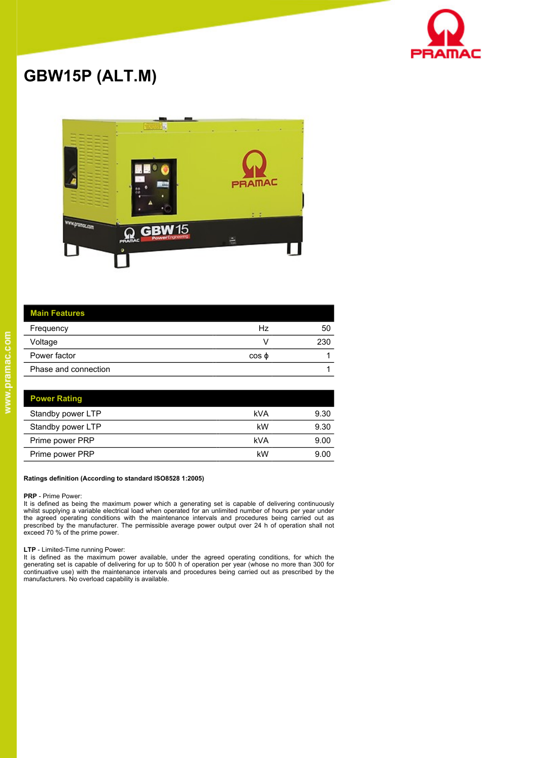

# **GBW15P (ALT.M)**



| <b>Main Features</b> |             |     |
|----------------------|-------------|-----|
| Frequency            | Hz          | 50  |
| Voltage              |             | 230 |
| Power factor         | $\cos \phi$ |     |
| Phase and connection |             |     |

| <b>Power Rating</b> |     |      |
|---------------------|-----|------|
| Standby power LTP   | kVA | 9.30 |
| Standby power LTP   | kW  | 9.30 |
| Prime power PRP     | kVA | 9.00 |
| Prime power PRP     | kW  | 9.00 |

#### **Ratings definition (According to standard ISO8528 1:2005)**

#### **PRP** - Prime Power:

It is defined as being the maximum power which a generating set is capable of delivering continuously whilst supplying a variable electrical load when operated for an unlimited number of hours per year under the agreed operating conditions with the maintenance intervals and procedures being carried out as prescribed by the manufacturer. The permissible average power output over 24 h of operation shall not exceed 70 % of the prime power.

#### **LTP** - Limited-Time running Power:

It is defined as the maximum power available, under the agreed operating conditions, for which the<br>generating set is capable of delivering for up to 500 h of operation per year (whose no more than 300 for<br>continuative use)

 $\overline{a}$ 

 $\overline{a}$ l, l,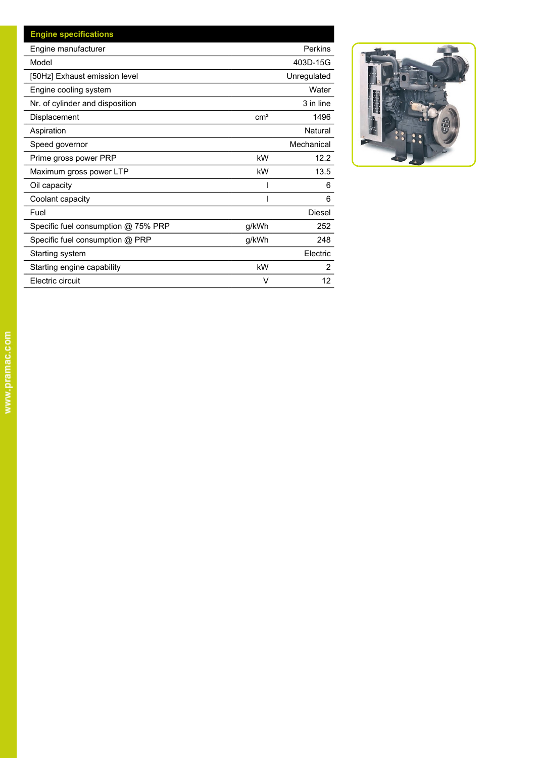| <b>Engine specifications</b>        |                 |                |
|-------------------------------------|-----------------|----------------|
| Engine manufacturer                 |                 | Perkins        |
| Model                               |                 | 403D-15G       |
| [50Hz] Exhaust emission level       |                 | Unregulated    |
| Engine cooling system               |                 | Water          |
| Nr. of cylinder and disposition     |                 | 3 in line      |
| Displacement                        | cm <sup>3</sup> | 1496           |
| Aspiration                          |                 | Natural        |
| Speed governor                      |                 | Mechanical     |
| Prime gross power PRP               | kW              | 12.2           |
| Maximum gross power LTP             | kW              | 13.5           |
| Oil capacity                        |                 | 6              |
| Coolant capacity                    |                 | 6              |
| Fuel                                |                 | Diesel         |
| Specific fuel consumption @ 75% PRP | g/kWh           | 252            |
| Specific fuel consumption @ PRP     | g/kWh           | 248            |
| Starting system                     |                 | Electric       |
| Starting engine capability          | kW              | $\overline{2}$ |
| Electric circuit                    | v               | 12             |

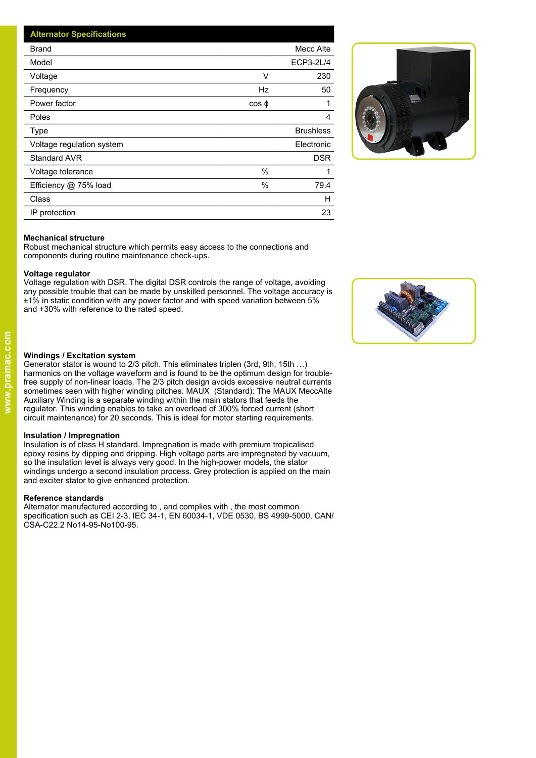| <b>Alternator Specifications</b> |                  |
|----------------------------------|------------------|
| <b>Brand</b>                     | Mecc Alte        |
| Model                            | ECP3-2L/4        |
| Voltage<br>V                     | 230              |
| Hz<br>Frequency                  | 50               |
| Power factor<br>$\cos \phi$      |                  |
| Poles                            | 4                |
| Type                             | <b>Brushless</b> |
| Voltage regulation system        | Electronic       |
| Standard AVR                     | <b>DSR</b>       |
| $\%$<br>Voltage tolerance        |                  |
| $\%$<br>Efficiency @ 75% load    | 79.4             |
| Class                            | H                |
| IP protection                    | 23               |



## **Mechanical structure**

Robust mechanical structure which permits easy access to the connections and components during routine maintenance check-ups.

#### **Voltage regulator**

Voltage regulation with DSR. The digital DSR controls the range of voltage, avoiding any possible trouble that can be made by unskilled personnel. The voltage accuracy is ±1% in static condition with any power factor and with speed variation between 5% and +30% with reference to the rated speed.



# **Windings / Excitation system**

Generator stator is wound to 2/3 pitch. This eliminates triplen (3rd, 9th, 15th …) harmonics on the voltage waveform and is found to be the optimum design for troublefree supply of non-linear loads. The 2/3 pitch design avoids excessive neutral currents sometimes seen with higher winding pitches. MAUX (Standard): The MAUX MeccAlte Auxiliary Winding is a separate winding within the main stators that feeds the regulator. This winding enables to take an overload of 300% forced current (short circuit maintenance) for 20 seconds. This is ideal for motor starting requirements.

### **Insulation / Impregnation**

Insulation is of class H standard. Impregnation is made with premium tropicalised epoxy resins by dipping and dripping. High voltage parts are impregnated by vacuum, so the insulation level is always very good. In the high-power models, the stator windings undergo a second insulation process. Grey protection is applied on the main and exciter stator to give enhanced protection.

### **Reference standards**

Alternator manufactured according to , and complies with , the most common specification such as CEI 2-3, IEC 34-1, EN 60034-1, VDE 0530, BS 4999-5000, CAN/ CSA-C22.2 No14-95-No100-95.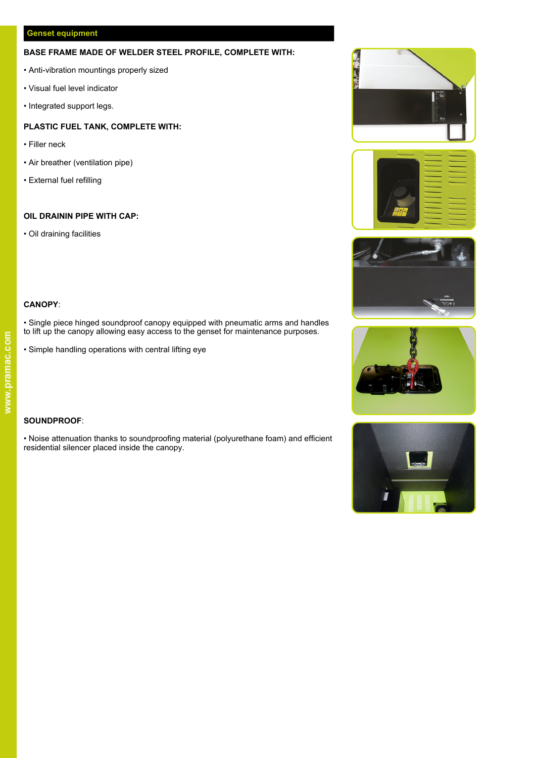# **BASE FRAME MADE OF WELDER STEEL PROFILE, COMPLETE WITH:**<br>• Anti-vibration mountings properly sized<br>• Anti-vibration indicates

- Anti-vibration mountings properly sized
- Visual fuel level indicator
- Integrated support legs.

# **PLASTIC FUEL TANK, COMPLETE WITH:**

- Filler neck
- Air breather (ventilation pipe)
- External fuel refilling

# **OIL DRAININ PIPE WITH CAP:**

• Oil draining facilities











# **CANOPY**:

• Single piece hinged soundproof canopy equipped with pneumatic arms and handles to lift up the canopy allowing easy access to the genset for maintenance purposes.

• Simple handling operations with central lifting eye

# **SOUNDPROOF**:

• Noise attenuation thanks to soundproofing material (polyurethane foam) and efficient residential silencer placed inside the canopy.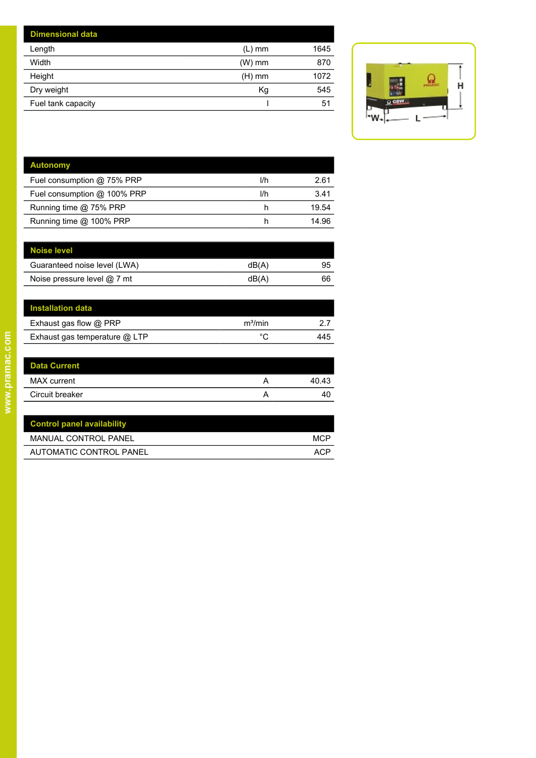| <b>Dimensional data</b> |          |      |
|-------------------------|----------|------|
| Length                  | $(L)$ mm | 1645 |
| Width                   | $(W)$ mm | 870  |
| Height                  | (H) mm   | 1072 |
| Dry weight              | Κg       | 545  |
| Fuel tank capacity      |          | 51   |
|                         |          |      |



| <b>Autonomy</b>             |     |       |
|-----------------------------|-----|-------|
| Fuel consumption @ 75% PRP  | l/h | 2.61  |
| Fuel consumption @ 100% PRP | l/h | 3.41  |
| Running time @ 75% PRP      | h   | 19.54 |
| Running time @ 100% PRP     |     | 14 96 |
|                             |     |       |

| dB(A) | 95 |
|-------|----|
| dB(A) | 66 |
|       |    |

| Installation data             |                     |     |
|-------------------------------|---------------------|-----|
| Exhaust gas flow @ PRP        | m <sup>3</sup> /min |     |
| Exhaust gas temperature @ LTP | ∘∼                  | 445 |

| <b>LAHQUOLYQO HUW WITH</b>    | ,,,,,,,,,, | <u>.</u> |
|-------------------------------|------------|----------|
| Exhaust gas temperature @ LTP | °C         | 445      |
|                               |            |          |
| <b>Data Current</b>           |            |          |
| <b>MAX</b> current            | А          | 40.43    |
| Circuit breaker               | А          | 40       |
|                               |            |          |

| <b>Control panel availability</b> |      |
|-----------------------------------|------|
| MANUAL CONTROL PANEL              | MCP  |
| AUTOMATIC CONTROL PANEL           | AC.P |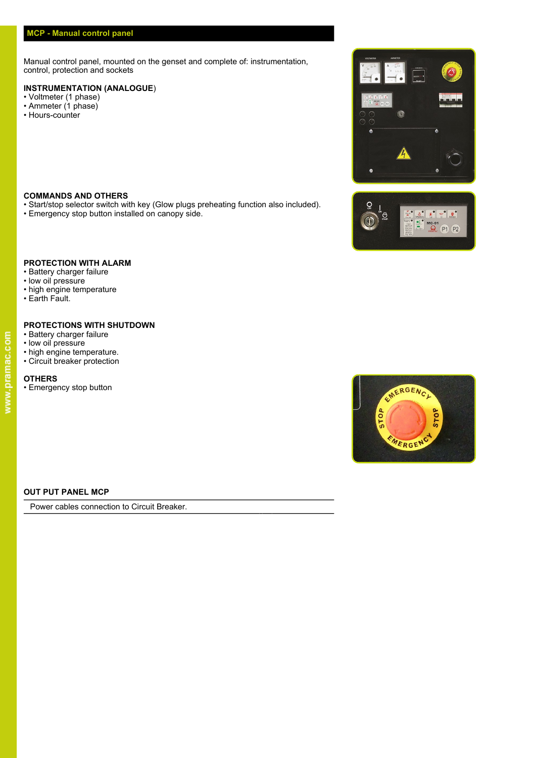Manual control panel, mounted on the genset and complete of: instrumentation, control, protection and sockets

# **INSTRUMENTATION (ANALOGUE**)

- Voltmeter (1 phase)
- Ammeter (1 phase)
- Hours-counter

# **COMMANDS AND OTHERS**

- Start/stop selector switch with key (Glow plugs preheating function also included).
- Emergency stop button installed on canopy side.





# **PROTECTION WITH ALARM**

- Battery charger failure • low oil pressure
- high engine temperature
- Earth Fault.

# **PROTECTIONS WITH SHUTDOWN**

- Battery charger failure
- low oil pressure
- high engine temperature.
- Circuit breaker protection

# **OTHERS**

• Emergency stop button



# **OUT PUT PANEL MCP**

Power cables connection to Circuit Breaker.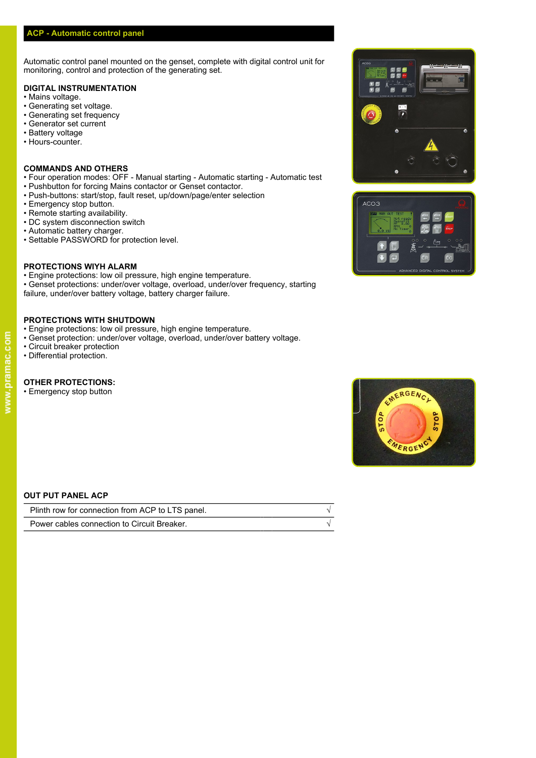Automatic control panel mounted on the genset, complete with digital control unit for monitoring, control and protection of the generating set.

#### **DIGITAL INSTRUMENTATION**

- Mains voltage.
- Generating set voltage.
- Generating set frequency
- Generator set current
- Battery voltage
- Hours-counter.

#### **COMMANDS AND OTHERS**

- Four operation modes: OFF Manual starting Automatic starting Automatic test
- Pushbutton for forcing Mains contactor or Genset contactor.
- Push-buttons: start/stop, fault reset, up/down/page/enter selection<br>• Emergency stop button
- Emergency stop button.
- Remote starting availability.
- DC system disconnection switch
- Automatic battery charger.
- Settable PASSWORD for protection level.

# **PROTECTIONS WIYH ALARM**

- Engine protections: low oil pressure, high engine temperature.
- Genset protections: under/over voltage, overload, under/over frequency, starting failure, under/over battery voltage, battery charger failure.

# **PROTECTIONS WITH SHUTDOWN**

- Engine protections: low oil pressure, high engine temperature.
- Genset protection: under/over voltage, overload, under/over battery voltage.
- Circuit breaker protection
- Differential protection.

### **OTHER PROTECTIONS:**

• Emergency stop button







#### **OUT PUT PANEL ACP**

| Plinth row for connection from ACP to LTS panel. |  |
|--------------------------------------------------|--|
| Power cables connection to Circuit Breaker.      |  |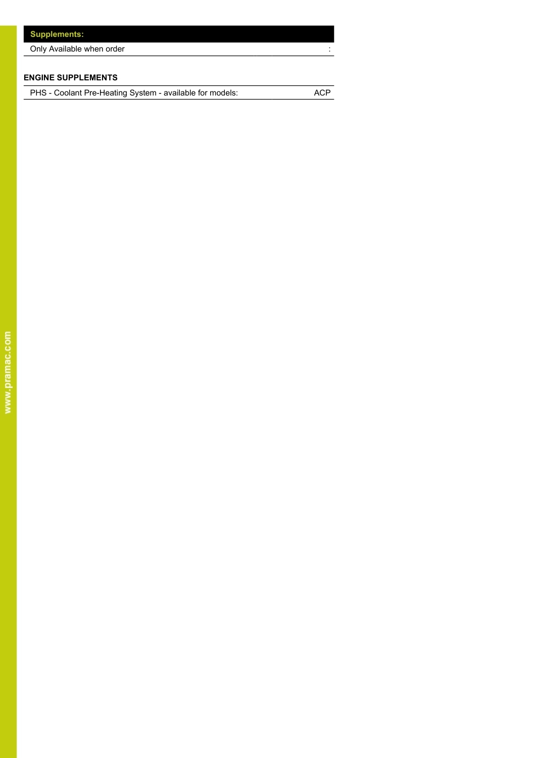| <b>Supplements:</b>       |
|---------------------------|
| Only Available when order |
|                           |

# **ENGINE SUPPLEMENTS**

PHS - Coolant Pre-Heating System - available for models: ACP